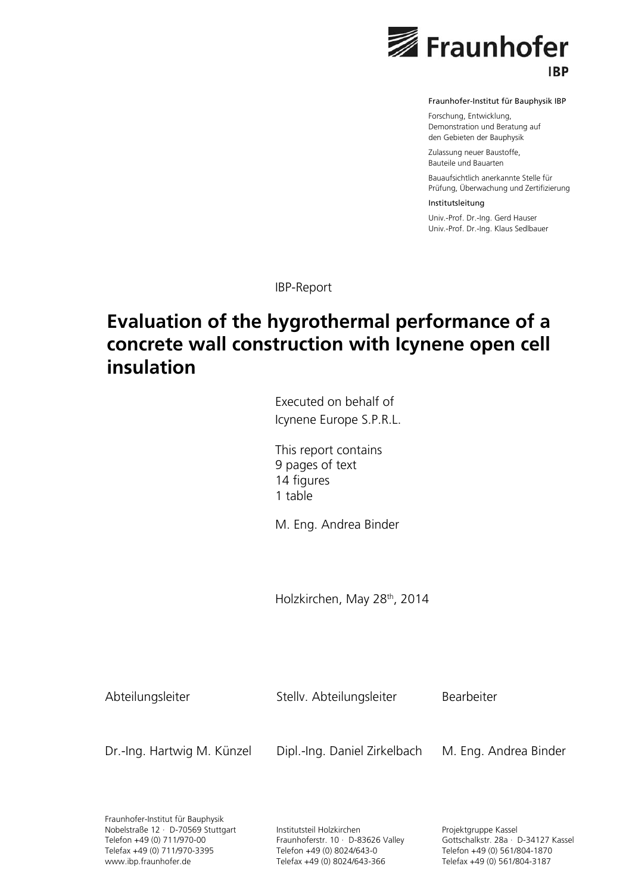

Fraunhofer-Institut für Bauphysik IBP

Forschung, Entwicklung, Demonstration und Beratung auf den Gebieten der Bauphysik

Zulassung neuer Baustoffe, Bauteile und Bauarten

Bauaufsichtlich anerkannte Stelle für Prüfung, Überwachung und Zertifizierung

Institutsleitung

Univ.-Prof. Dr.-Ing. Gerd Hauser Univ.-Prof. Dr.-Ing. Klaus Sedlbauer

IBP-Report

# **Evaluation of the hygrothermal performance of a concrete wall construction with Icynene open cell insulation**

Executed on behalf of Icynene Europe S.P.R.L.

This report contains 9 pages of text 14 figures 1 table

M. Eng. Andrea Binder

Holzkirchen, May 28<sup>th</sup>, 2014

Abteilungsleiter Stellv. Abteilungsleiter Bearbeiter

Dr.-Ing. Hartwig M. Künzel Dipl.-Ing. Daniel Zirkelbach M. Eng. Andrea Binder

Fraunhofer-Institut für Bauphysik Nobelstraße 12 ∙ D-70569 Stuttgart Telefon +49 (0) 711/970-00 Telefax +49 (0) 711/970-3395 www.ibp.fraunhofer.de

Institutsteil Holzkirchen Fraunhoferstr. 10 ∙ D-83626 Valley Telefon +49 (0) 8024/643-0 Telefax +49 (0) 8024/643-366

Projektgruppe Kassel Gottschalkstr. 28a ∙ D-34127 Kassel Telefon +49 (0) 561/804-1870 Telefax +49 (0) 561/804-3187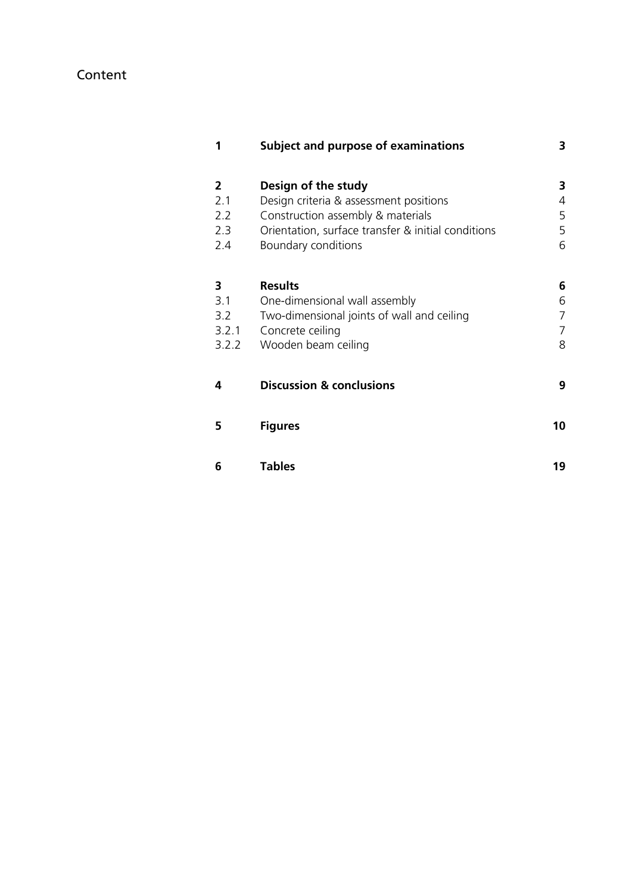# Content

| 1                                        | <b>Subject and purpose of examinations</b>                                                                                                                                      | 3                     |
|------------------------------------------|---------------------------------------------------------------------------------------------------------------------------------------------------------------------------------|-----------------------|
| $\mathbf{2}$<br>2.1<br>2.2<br>2.3<br>2.4 | Design of the study<br>Design criteria & assessment positions<br>Construction assembly & materials<br>Orientation, surface transfer & initial conditions<br>Boundary conditions | 3<br>4<br>5<br>5<br>6 |
| 3<br>3.1<br>3.2<br>3.2.1<br>3.2.2        | <b>Results</b><br>One-dimensional wall assembly<br>Two-dimensional joints of wall and ceiling<br>Concrete ceiling<br>Wooden beam ceiling                                        | 6<br>6<br>7<br>7<br>8 |
| 4                                        | <b>Discussion &amp; conclusions</b>                                                                                                                                             | 9                     |
| 5                                        | <b>Figures</b>                                                                                                                                                                  | 10                    |
| 6                                        | <b>Tables</b>                                                                                                                                                                   | 19                    |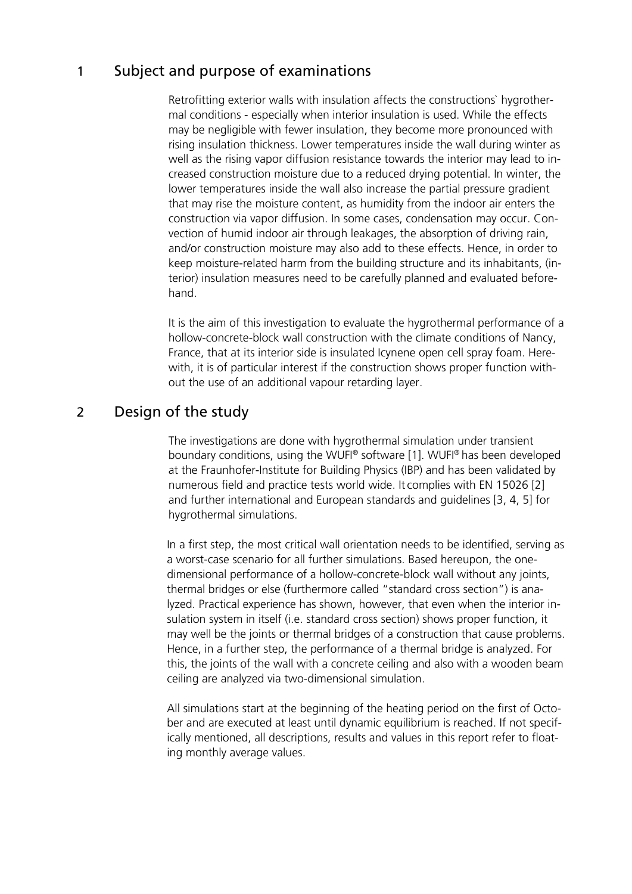# 1 Subject and purpose of examinations

Retrofitting exterior walls with insulation affects the constructions` hygrothermal conditions - especially when interior insulation is used. While the effects may be negligible with fewer insulation, they become more pronounced with rising insulation thickness. Lower temperatures inside the wall during winter as well as the rising vapor diffusion resistance towards the interior may lead to increased construction moisture due to a reduced drying potential. In winter, the lower temperatures inside the wall also increase the partial pressure gradient that may rise the moisture content, as humidity from the indoor air enters the construction via vapor diffusion. In some cases, condensation may occur. Convection of humid indoor air through leakages, the absorption of driving rain, and/or construction moisture may also add to these effects. Hence, in order to keep moisture-related harm from the building structure and its inhabitants, (interior) insulation measures need to be carefully planned and evaluated beforehand.

It is the aim of this investigation to evaluate the hygrothermal performance of a hollow-concrete-block wall construction with the climate conditions of Nancy, France, that at its interior side is insulated Icynene open cell spray foam. Herewith, it is of particular interest if the construction shows proper function without the use of an additional vapour retarding layer.

# 2 Design of the study

The investigations are done with hygrothermal simulation under transient boundary conditions, using the WUFI® software [1]. WUFI® has been developed at the Fraunhofer-Institute for Building Physics (IBP) and has been validated by numerous field and practice tests world wide. It complies with EN 15026 [2] and further international and European standards and guidelines [3, 4, 5] for hygrothermal simulations.

In a first step, the most critical wall orientation needs to be identified, serving as a worst-case scenario for all further simulations. Based hereupon, the onedimensional performance of a hollow-concrete-block wall without any joints, thermal bridges or else (furthermore called "standard cross section") is analyzed. Practical experience has shown, however, that even when the interior insulation system in itself (i.e. standard cross section) shows proper function, it may well be the joints or thermal bridges of a construction that cause problems. Hence, in a further step, the performance of a thermal bridge is analyzed. For this, the joints of the wall with a concrete ceiling and also with a wooden beam ceiling are analyzed via two-dimensional simulation.

All simulations start at the beginning of the heating period on the first of October and are executed at least until dynamic equilibrium is reached. If not specifically mentioned, all descriptions, results and values in this report refer to floating monthly average values.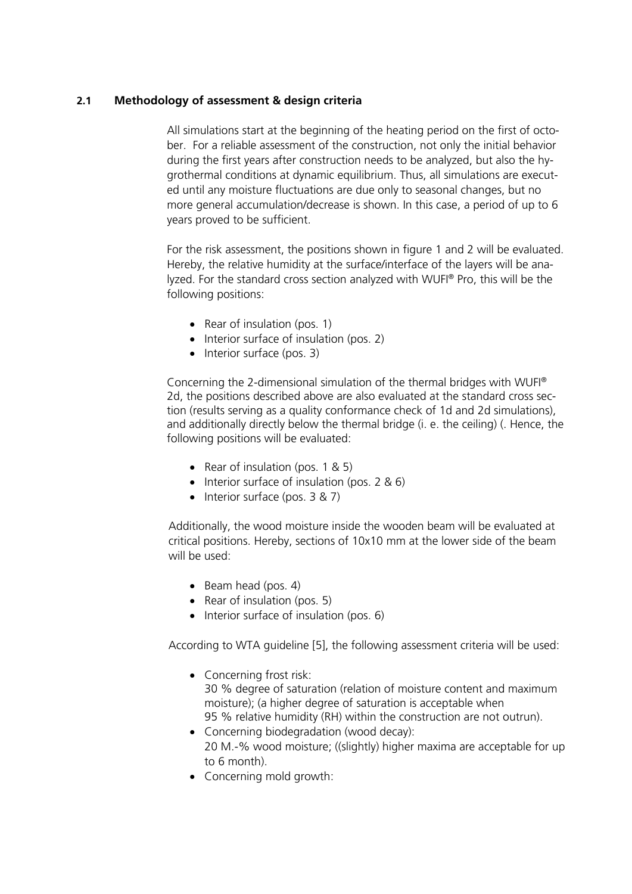### **2.1 Methodology of assessment & design criteria**

All simulations start at the beginning of the heating period on the first of october. For a reliable assessment of the construction, not only the initial behavior during the first years after construction needs to be analyzed, but also the hygrothermal conditions at dynamic equilibrium. Thus, all simulations are executed until any moisture fluctuations are due only to seasonal changes, but no more general accumulation/decrease is shown. In this case, a period of up to 6 years proved to be sufficient.

For the risk assessment, the positions shown in figure 1 and 2 will be evaluated. Hereby, the relative humidity at the surface/interface of the layers will be analyzed. For the standard cross section analyzed with WUFI® Pro, this will be the following positions:

- Rear of insulation (pos. 1)
- $\bullet$  Interior surface of insulation (pos. 2)
- $\bullet$  Interior surface (pos. 3)

Concerning the 2-dimensional simulation of the thermal bridges with WUFI® 2d, the positions described above are also evaluated at the standard cross section (results serving as a quality conformance check of 1d and 2d simulations), and additionally directly below the thermal bridge (i. e. the ceiling) (. Hence, the following positions will be evaluated:

- Rear of insulation (pos.  $1 \& 5$ )
- $\bullet$  Interior surface of insulation (pos. 2 & 6)
- $\bullet$  Interior surface (pos. 3 & 7)

Additionally, the wood moisture inside the wooden beam will be evaluated at critical positions. Hereby, sections of 10x10 mm at the lower side of the beam will be used:

- $\bullet$  Beam head (pos. 4)
- Rear of insulation (pos. 5)
- Interior surface of insulation (pos. 6)

According to WTA guideline [5], the following assessment criteria will be used:

- Concerning frost risk: 30 % degree of saturation (relation of moisture content and maximum moisture); (a higher degree of saturation is acceptable when 95 % relative humidity (RH) within the construction are not outrun).
- Concerning biodegradation (wood decay): 20 M.-% wood moisture; ((slightly) higher maxima are acceptable for up to 6 month).
- Concerning mold growth: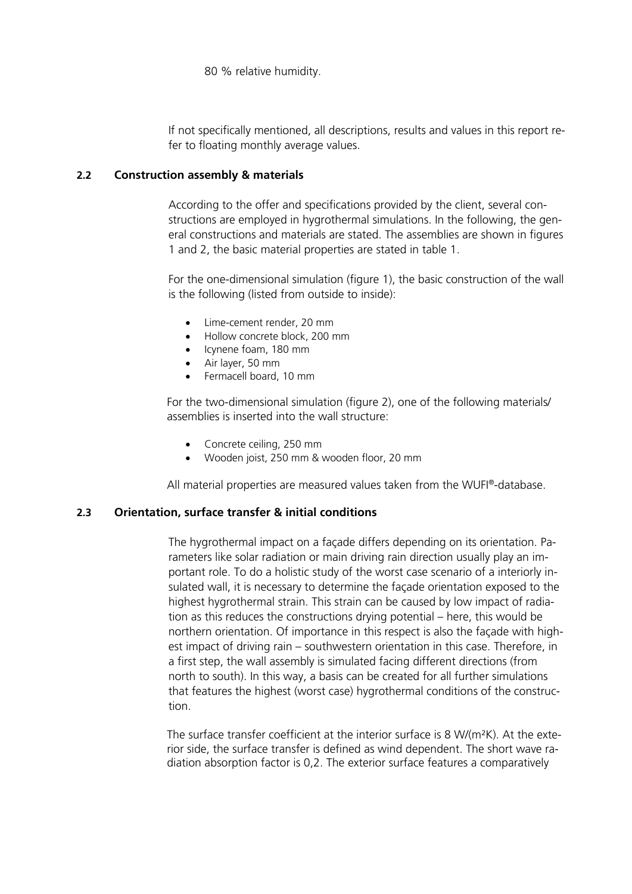80 % relative humidity.

If not specifically mentioned, all descriptions, results and values in this report refer to floating monthly average values.

### **2.2 Construction assembly & materials**

According to the offer and specifications provided by the client, several constructions are employed in hygrothermal simulations. In the following, the general constructions and materials are stated. The assemblies are shown in figures 1 and 2, the basic material properties are stated in table 1.

For the one-dimensional simulation (figure 1), the basic construction of the wall is the following (listed from outside to inside):

- Lime-cement render, 20 mm
- Hollow concrete block, 200 mm
- Icynene foam, 180 mm
- Air layer, 50 mm
- Fermacell board, 10 mm

For the two-dimensional simulation (figure 2), one of the following materials/ assemblies is inserted into the wall structure:

- Concrete ceiling, 250 mm
- Wooden joist, 250 mm & wooden floor, 20 mm

All material properties are measured values taken from the WUFI®-database.

### **2.3 Orientation, surface transfer & initial conditions**

The hygrothermal impact on a façade differs depending on its orientation. Parameters like solar radiation or main driving rain direction usually play an important role. To do a holistic study of the worst case scenario of a interiorly insulated wall, it is necessary to determine the façade orientation exposed to the highest hygrothermal strain. This strain can be caused by low impact of radiation as this reduces the constructions drying potential – here, this would be northern orientation. Of importance in this respect is also the façade with highest impact of driving rain – southwestern orientation in this case. Therefore, in a first step, the wall assembly is simulated facing different directions (from north to south). In this way, a basis can be created for all further simulations that features the highest (worst case) hygrothermal conditions of the construction.

The surface transfer coefficient at the interior surface is 8 W/(m²K). At the exterior side, the surface transfer is defined as wind dependent. The short wave radiation absorption factor is 0,2. The exterior surface features a comparatively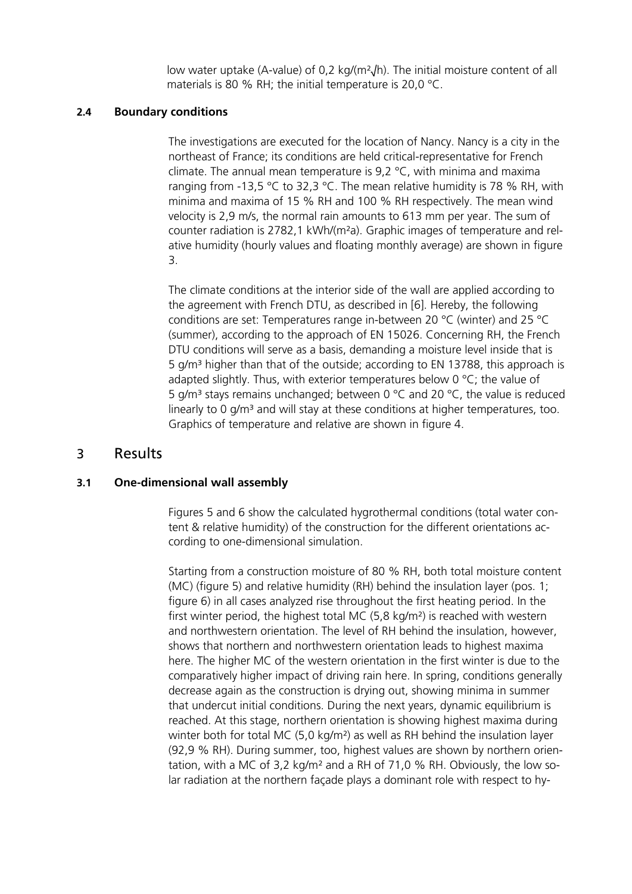low water uptake (A-value) of 0,2 kg/(m²√h). The initial moisture content of all materials is 80 % RH; the initial temperature is 20,0 °C.

### **2.4 Boundary conditions**

The investigations are executed for the location of Nancy. Nancy is a city in the northeast of France; its conditions are held critical-representative for French climate. The annual mean temperature is 9,2 °C, with minima and maxima ranging from -13,5 °C to 32,3 °C. The mean relative humidity is 78 % RH, with minima and maxima of 15 % RH and 100 % RH respectively. The mean wind velocity is 2,9 m/s, the normal rain amounts to 613 mm per year. The sum of counter radiation is 2782,1 kWh/(m²a). Graphic images of temperature and relative humidity (hourly values and floating monthly average) are shown in figure 3.

The climate conditions at the interior side of the wall are applied according to the agreement with French DTU, as described in [6]. Hereby, the following conditions are set: Temperatures range in-between 20 °C (winter) and 25 °C (summer), according to the approach of EN 15026. Concerning RH, the French DTU conditions will serve as a basis, demanding a moisture level inside that is 5  $q/m<sup>3</sup>$  higher than that of the outside; according to EN 13788, this approach is adapted slightly. Thus, with exterior temperatures below  $0^{\circ}$ C; the value of 5 g/m<sup>3</sup> stays remains unchanged; between 0 °C and 20 °C, the value is reduced linearly to 0 g/m<sup>3</sup> and will stay at these conditions at higher temperatures, too. Graphics of temperature and relative are shown in figure 4.

## 3 Results

### **3.1 One-dimensional wall assembly**

Figures 5 and 6 show the calculated hygrothermal conditions (total water content & relative humidity) of the construction for the different orientations according to one-dimensional simulation.

Starting from a construction moisture of 80 % RH, both total moisture content (MC) (figure 5) and relative humidity (RH) behind the insulation layer (pos. 1; figure 6) in all cases analyzed rise throughout the first heating period. In the first winter period, the highest total MC (5,8 kg/m²) is reached with western and northwestern orientation. The level of RH behind the insulation, however, shows that northern and northwestern orientation leads to highest maxima here. The higher MC of the western orientation in the first winter is due to the comparatively higher impact of driving rain here. In spring, conditions generally decrease again as the construction is drying out, showing minima in summer that undercut initial conditions. During the next years, dynamic equilibrium is reached. At this stage, northern orientation is showing highest maxima during winter both for total MC (5,0 kg/m<sup>2</sup>) as well as RH behind the insulation layer (92,9 % RH). During summer, too, highest values are shown by northern orientation, with a MC of 3,2 kg/m² and a RH of 71,0 % RH. Obviously, the low solar radiation at the northern façade plays a dominant role with respect to hy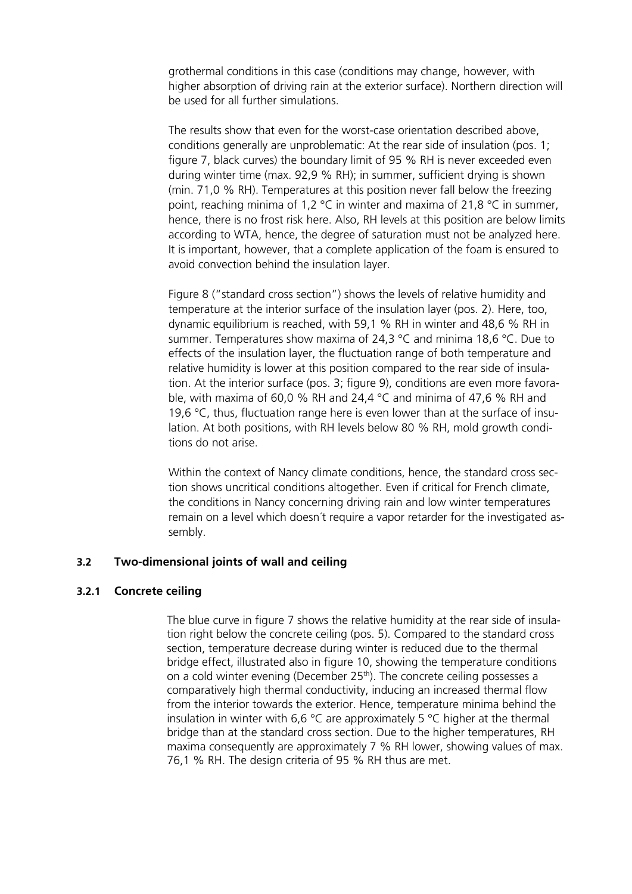grothermal conditions in this case (conditions may change, however, with higher absorption of driving rain at the exterior surface). Northern direction will be used for all further simulations.

The results show that even for the worst-case orientation described above, conditions generally are unproblematic: At the rear side of insulation (pos. 1; figure 7, black curves) the boundary limit of 95 % RH is never exceeded even during winter time (max. 92,9 % RH); in summer, sufficient drying is shown (min. 71,0 % RH). Temperatures at this position never fall below the freezing point, reaching minima of 1,2 °C in winter and maxima of 21,8 °C in summer, hence, there is no frost risk here. Also, RH levels at this position are below limits according to WTA, hence, the degree of saturation must not be analyzed here. It is important, however, that a complete application of the foam is ensured to avoid convection behind the insulation layer.

Figure 8 ("standard cross section") shows the levels of relative humidity and temperature at the interior surface of the insulation layer (pos. 2). Here, too, dynamic equilibrium is reached, with 59,1 % RH in winter and 48,6 % RH in summer. Temperatures show maxima of 24,3 °C and minima 18,6 °C. Due to effects of the insulation layer, the fluctuation range of both temperature and relative humidity is lower at this position compared to the rear side of insulation. At the interior surface (pos. 3; figure 9), conditions are even more favorable, with maxima of 60,0 % RH and 24,4 °C and minima of 47,6 % RH and 19,6 °C, thus, fluctuation range here is even lower than at the surface of insulation. At both positions, with RH levels below 80 % RH, mold growth conditions do not arise.

Within the context of Nancy climate conditions, hence, the standard cross section shows uncritical conditions altogether. Even if critical for French climate, the conditions in Nancy concerning driving rain and low winter temperatures remain on a level which doesn´t require a vapor retarder for the investigated assembly.

#### **3.2 Two-dimensional joints of wall and ceiling**

#### **3.2.1 Concrete ceiling**

The blue curve in figure 7 shows the relative humidity at the rear side of insulation right below the concrete ceiling (pos. 5). Compared to the standard cross section, temperature decrease during winter is reduced due to the thermal bridge effect, illustrated also in figure 10, showing the temperature conditions on a cold winter evening (December 25<sup>th</sup>). The concrete ceiling possesses a comparatively high thermal conductivity, inducing an increased thermal flow from the interior towards the exterior. Hence, temperature minima behind the insulation in winter with 6,6 °C are approximately 5 °C higher at the thermal bridge than at the standard cross section. Due to the higher temperatures, RH maxima consequently are approximately 7 % RH lower, showing values of max. 76,1 % RH. The design criteria of 95 % RH thus are met.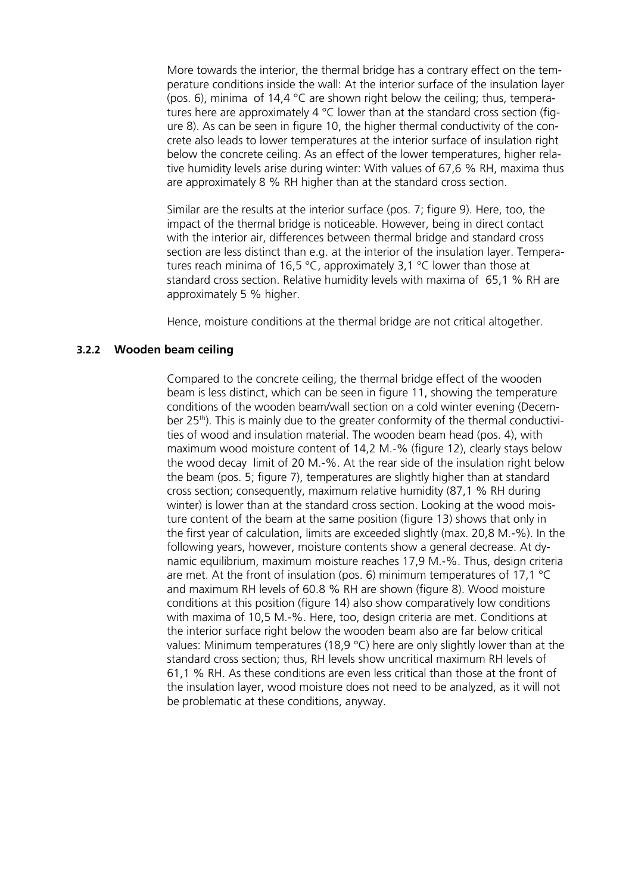More towards the interior, the thermal bridge has a contrary effect on the temperature conditions inside the wall: At the interior surface of the insulation layer (pos. 6), minima of 14,4 °C are shown right below the ceiling; thus, temperatures here are approximately 4  $^{\circ}$ C lower than at the standard cross section (figure 8). As can be seen in figure 10, the higher thermal conductivity of the concrete also leads to lower temperatures at the interior surface of insulation right below the concrete ceiling. As an effect of the lower temperatures, higher relative humidity levels arise during winter: With values of 67,6 % RH, maxima thus are approximately 8 % RH higher than at the standard cross section.

Similar are the results at the interior surface (pos. 7; figure 9). Here, too, the impact of the thermal bridge is noticeable. However, being in direct contact with the interior air, differences between thermal bridge and standard cross section are less distinct than e.g. at the interior of the insulation layer. Temperatures reach minima of 16,5 °C, approximately 3,1 °C lower than those at standard cross section. Relative humidity levels with maxima of 65,1 % RH are approximately 5 % higher.

Hence, moisture conditions at the thermal bridge are not critical altogether.

### **3.2.2 Wooden beam ceiling**

Compared to the concrete ceiling, the thermal bridge effect of the wooden beam is less distinct, which can be seen in figure 11, showing the temperature conditions of the wooden beam/wall section on a cold winter evening (December 25<sup>th</sup>). This is mainly due to the greater conformity of the thermal conductivities of wood and insulation material. The wooden beam head (pos. 4), with maximum wood moisture content of 14,2 M.-% (figure 12), clearly stays below the wood decay limit of 20 M.-%. At the rear side of the insulation right below the beam (pos. 5; figure 7), temperatures are slightly higher than at standard cross section; consequently, maximum relative humidity (87,1 % RH during winter) is lower than at the standard cross section. Looking at the wood moisture content of the beam at the same position (figure 13) shows that only in the first year of calculation, limits are exceeded slightly (max. 20,8 M.-%). In the following years, however, moisture contents show a general decrease. At dynamic equilibrium, maximum moisture reaches 17,9 M.-%. Thus, design criteria are met. At the front of insulation (pos. 6) minimum temperatures of 17,1 °C and maximum RH levels of 60.8 % RH are shown (figure 8). Wood moisture conditions at this position (figure 14) also show comparatively low conditions with maxima of 10,5 M.-%. Here, too, design criteria are met. Conditions at the interior surface right below the wooden beam also are far below critical values: Minimum temperatures (18,9 °C) here are only slightly lower than at the standard cross section; thus, RH levels show uncritical maximum RH levels of 61,1 % RH. As these conditions are even less critical than those at the front of the insulation layer, wood moisture does not need to be analyzed, as it will not be problematic at these conditions, anyway.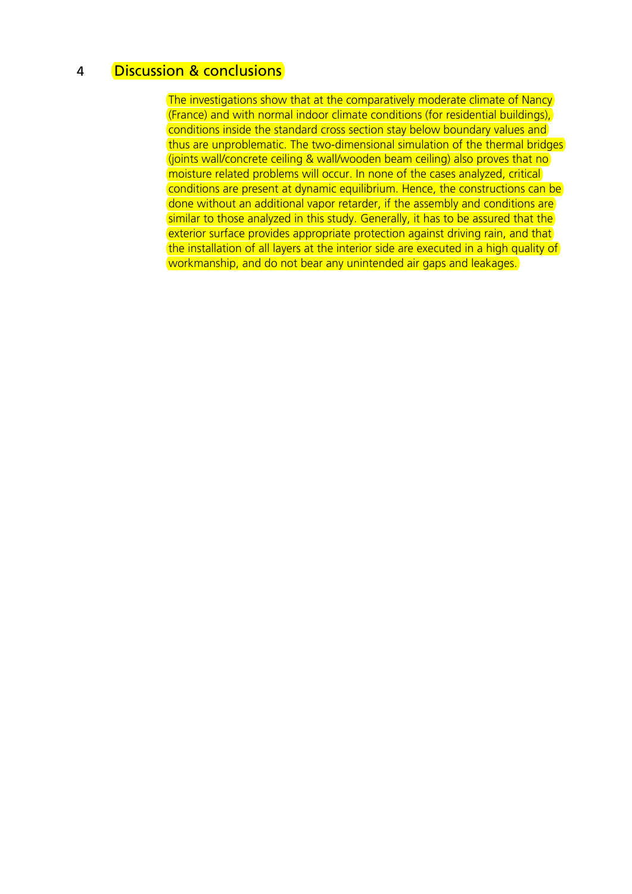# 4 Discussion & conclusions

The investigations show that at the comparatively moderate climate of Nancy (France) and with normal indoor climate conditions (for residential buildings), conditions inside the standard cross section stay below boundary values and thus are unproblematic. The two-dimensional simulation of the thermal bridges (joints wall/concrete ceiling & wall/wooden beam ceiling) also proves that no moisture related problems will occur. In none of the cases analyzed, critical conditions are present at dynamic equilibrium. Hence, the constructions can be done without an additional vapor retarder, if the assembly and conditions are similar to those analyzed in this study. Generally, it has to be assured that the exterior surface provides appropriate protection against driving rain, and that the installation of all layers at the interior side are executed in a high quality of workmanship, and do not bear any unintended air gaps and leakages.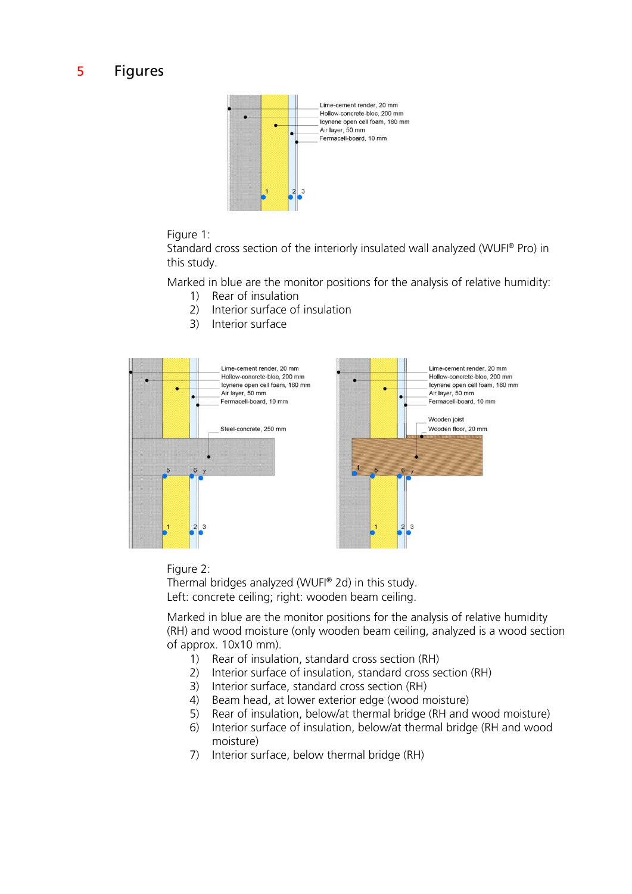# 5 Figures



#### Figure 1:

Standard cross section of the interiorly insulated wall analyzed (WUFI® Pro) in this study.

Marked in blue are the monitor positions for the analysis of relative humidity:

- 1) Rear of insulation
- 2) Interior surface of insulation
- 3) Interior surface



#### Figure 2:

Thermal bridges analyzed (WUFI® 2d) in this study. Left: concrete ceiling; right: wooden beam ceiling.

Marked in blue are the monitor positions for the analysis of relative humidity (RH) and wood moisture (only wooden beam ceiling, analyzed is a wood section of approx. 10x10 mm).

- 1) Rear of insulation, standard cross section (RH)
- 2) Interior surface of insulation, standard cross section (RH)
- 3) Interior surface, standard cross section (RH)
- 4) Beam head, at lower exterior edge (wood moisture)
- 5) Rear of insulation, below/at thermal bridge (RH and wood moisture)
- 6) Interior surface of insulation, below/at thermal bridge (RH and wood moisture)
- 7) Interior surface, below thermal bridge (RH)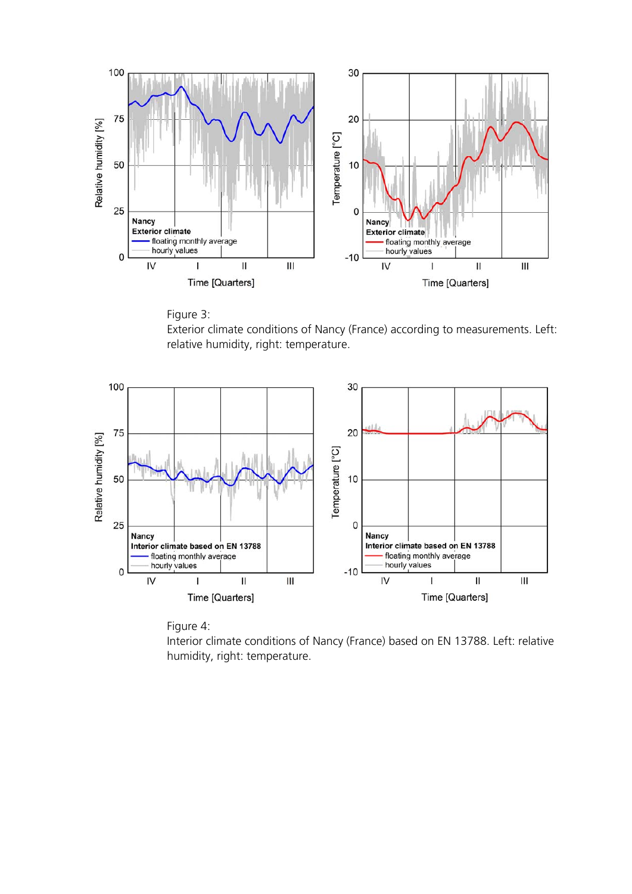



Exterior climate conditions of Nancy (France) according to measurements. Left: relative humidity, right: temperature.





Interior climate conditions of Nancy (France) based on EN 13788. Left: relative humidity, right: temperature.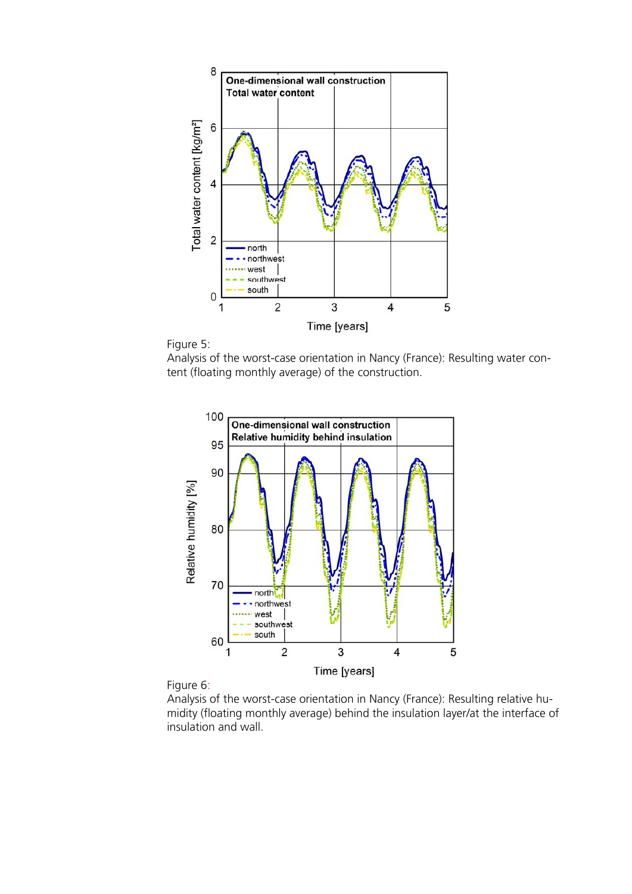



Analysis of the worst-case orientation in Nancy (France): Resulting water content (floating monthly average) of the construction.





Analysis of the worst-case orientation in Nancy (France): Resulting relative humidity (floating monthly average) behind the insulation layer/at the interface of insulation and wall.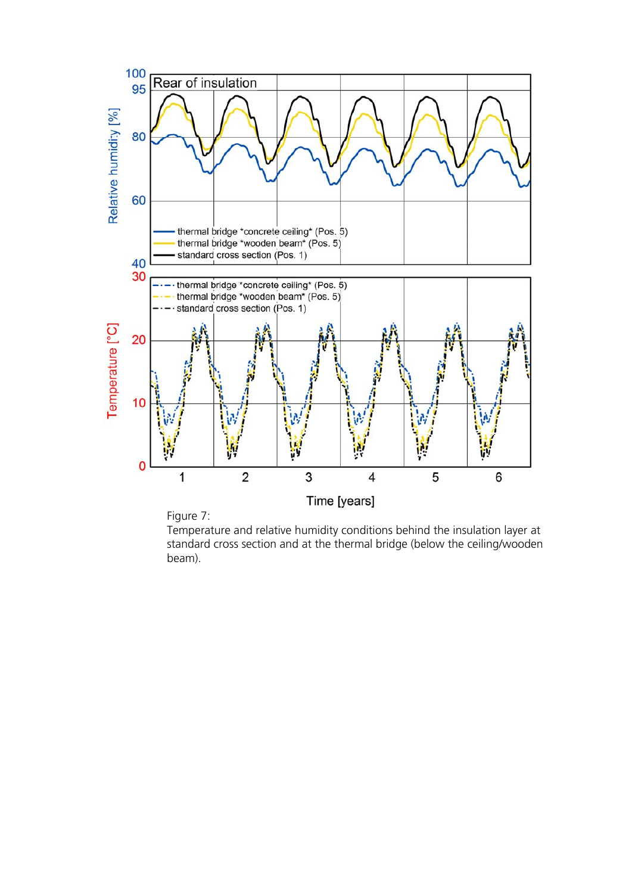



Temperature and relative humidity conditions behind the insulation layer at standard cross section and at the thermal bridge (below the ceiling/wooden beam).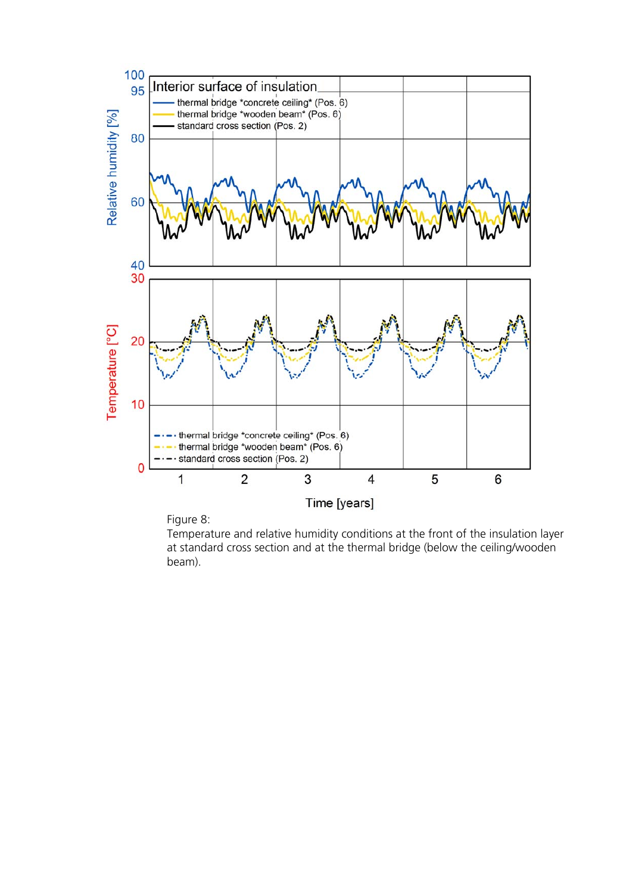

Figure 8:

Temperature and relative humidity conditions at the front of the insulation layer at standard cross section and at the thermal bridge (below the ceiling/wooden beam).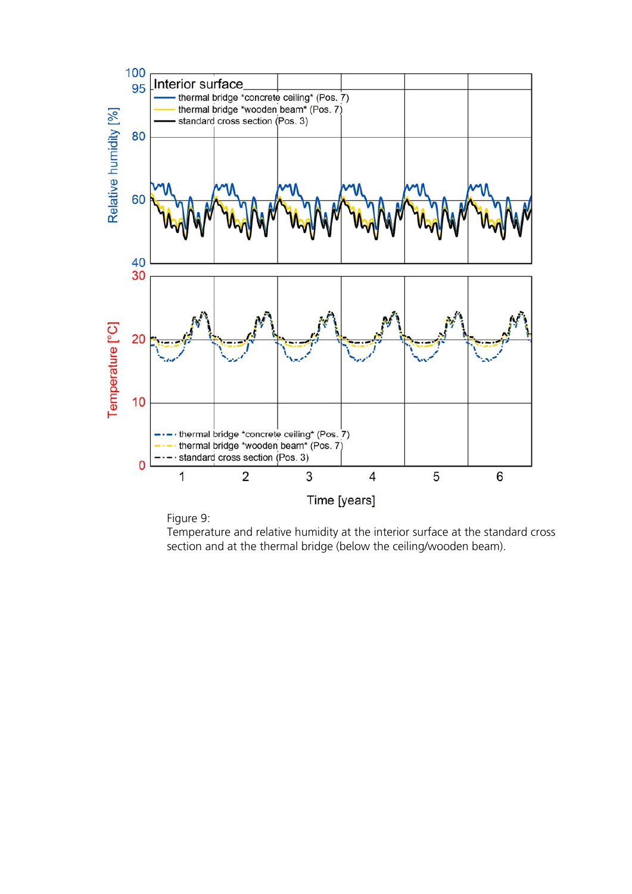



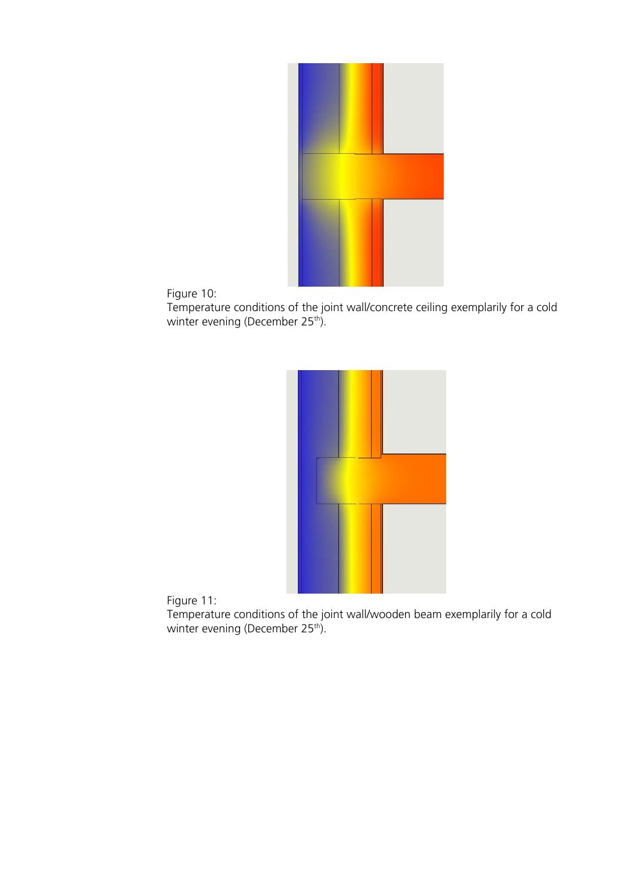

Figure 10:

Temperature conditions of the joint wall/concrete ceiling exemplarily for a cold winter evening (December 25<sup>th</sup>).



Figure 11:

Temperature conditions of the joint wall/wooden beam exemplarily for a cold winter evening (December 25<sup>th</sup>).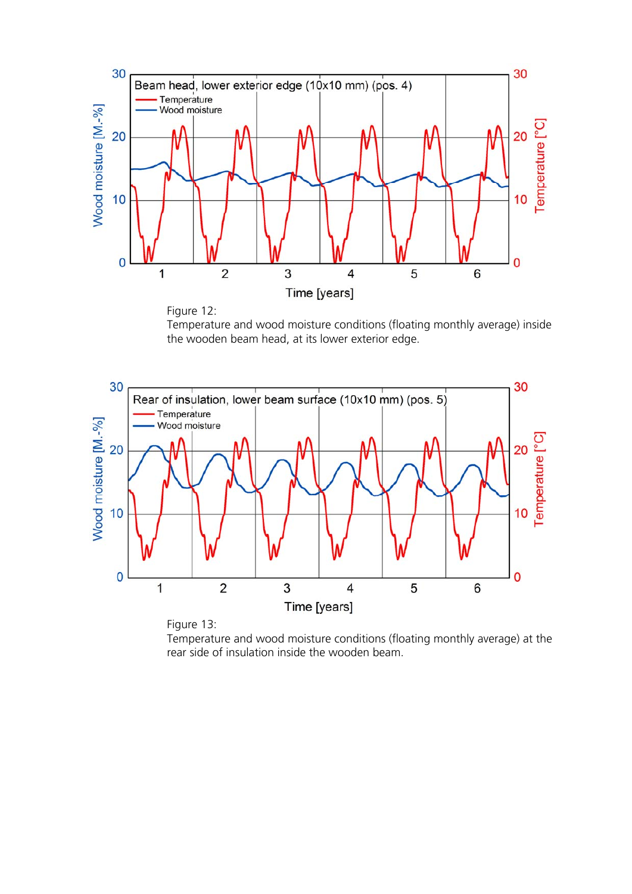



Temperature and wood moisture conditions (floating monthly average) inside the wooden beam head, at its lower exterior edge.



Figure 13: Temperature and wood moisture conditions (floating monthly average) at the rear side of insulation inside the wooden beam.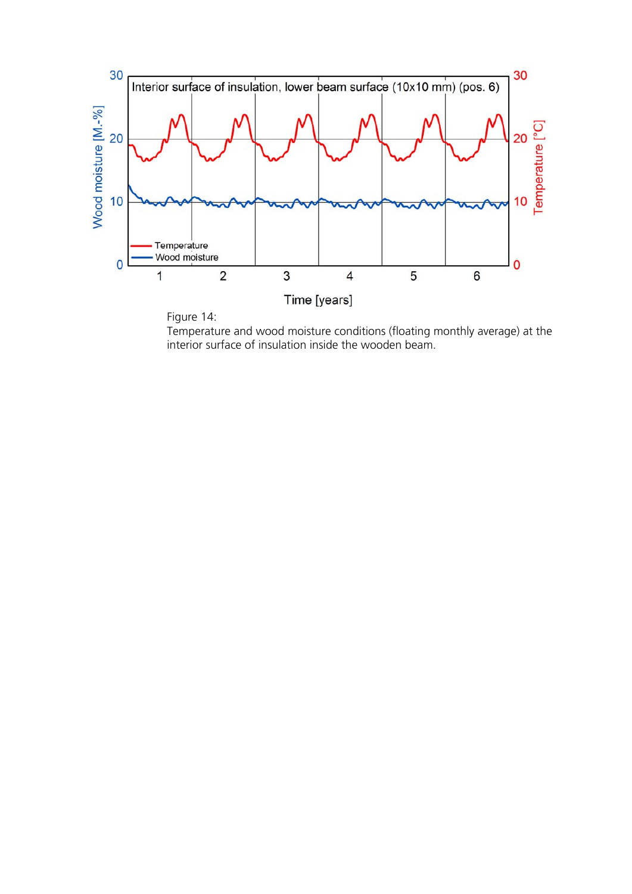



Temperature and wood moisture conditions (floating monthly average) at the interior surface of insulation inside the wooden beam.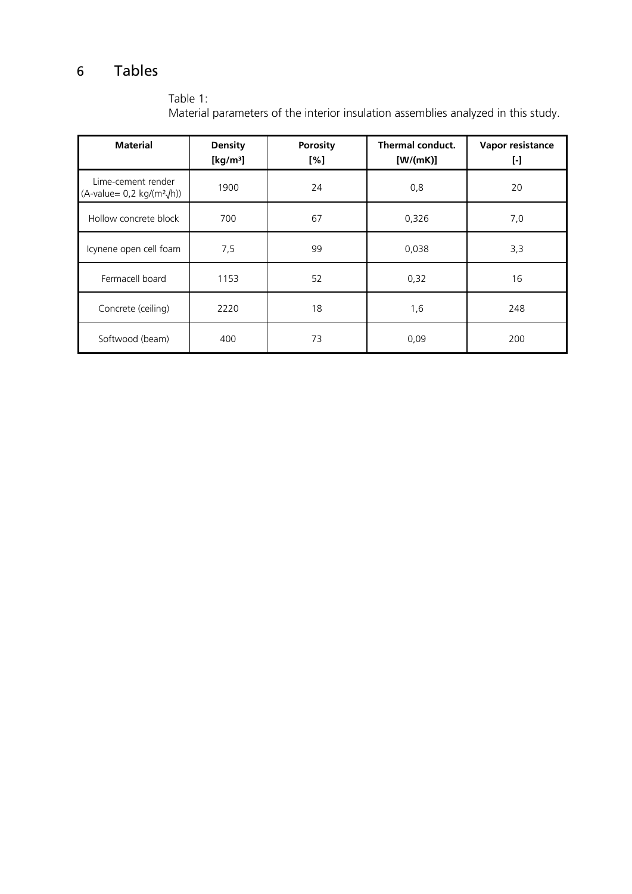# 6 Tables

| Material parameters of the interior insulation assemblies analyzed in this study. |                               |                        |                                     |                         |  |  |
|-----------------------------------------------------------------------------------|-------------------------------|------------------------|-------------------------------------|-------------------------|--|--|
| <b>Material</b>                                                                   | <b>Density</b><br>[ $kg/m3$ ] | <b>Porosity</b><br>[%] | <b>Thermal conduct.</b><br>[W/(mK)] | Vapor resistance<br>[-] |  |  |
| Lime-cement render<br>$(A-value= 0,2 kg/(m^2/h))$                                 | 1900                          | 24                     | 0,8                                 | 20                      |  |  |
| Hollow concrete block                                                             | 700                           | 67                     | 0,326                               | 7,0                     |  |  |
| Icynene open cell foam                                                            | 7,5                           | 99                     | 0,038                               | 3,3                     |  |  |
| Fermacell board                                                                   | 1153                          | 52                     | 0,32                                | 16                      |  |  |
| Concrete (ceiling)                                                                | 2220                          | 18                     | 1,6                                 | 248                     |  |  |
| Softwood (beam)                                                                   | 400                           | 73                     | 0,09                                | 200                     |  |  |

Table 1:<br>Material i Material parameters of the interior insulation assemblies analyzed in this study.